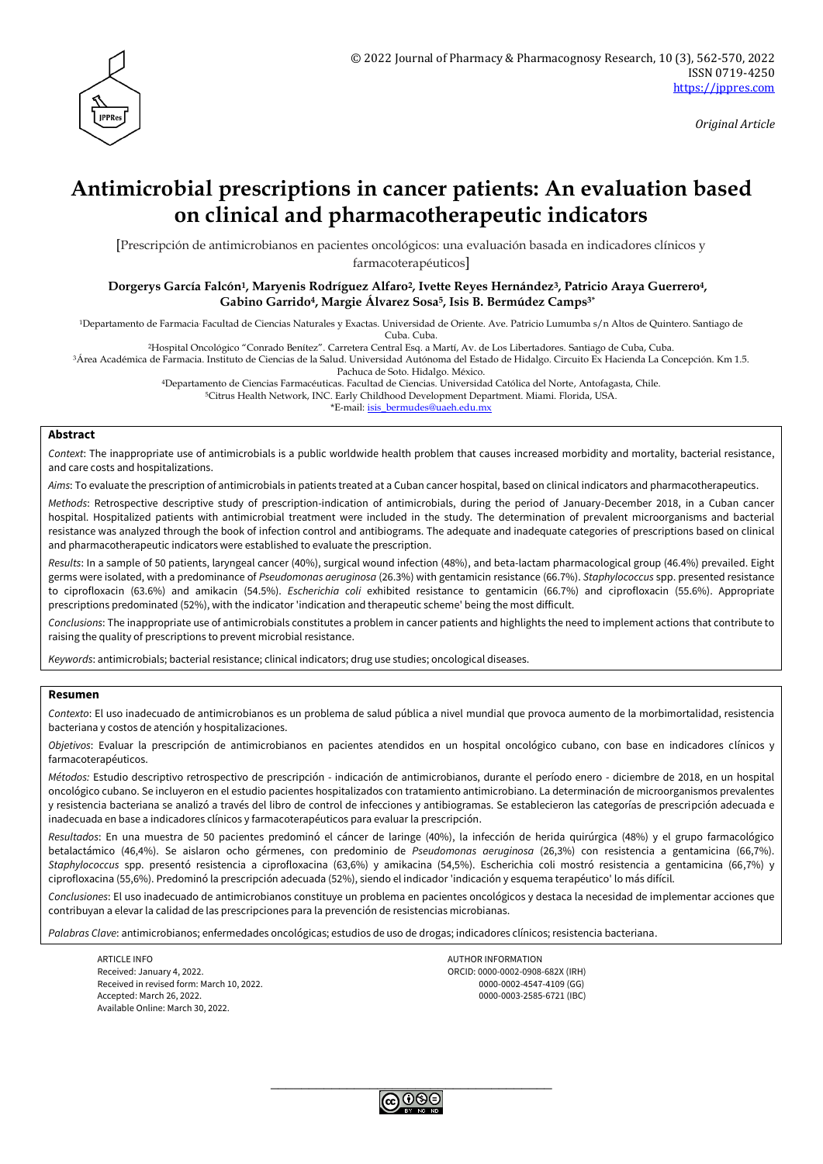

*Original Article*

# **Antimicrobial prescriptions in cancer patients: An evaluation based on clinical and pharmacotherapeutic indicators**

[Prescripción de antimicrobianos en pacientes oncológicos: una evaluación basada en indicadores clínicos y farmacoterapéuticos]

**Dorgerys García Falcón1, Maryenis Rodríguez Alfaro2, Ivette Reyes Hernández3, Patricio Araya Guerrero4, Gabino Garrido4, Margie Álvarez Sosa5, Isis B. Bermúdez Camps3\***

<sup>1</sup>Departamento de Farmacia. Facultad de Ciencias Naturales y Exactas. Universidad de Oriente. Ave. Patricio Lumumba s/n Altos de Quintero. Santiago de Cuba. Cuba.

<sup>2</sup>Hospital Oncológico "Conrado Benítez". Carretera Central Esq. a Martí, Av. de Los Libertadores. Santiago de Cuba, Cuba.

<sup>3</sup>Área Académica de Farmacia. Instituto de Ciencias de la Salud. Universidad Autónoma del Estado de Hidalgo. Circuito Ex Hacienda La Concepción. Km 1.5. Pachuca de Soto. Hidalgo. México.

<sup>4</sup>Departamento de Ciencias Farmacéuticas. Facultad de Ciencias. Universidad Católica del Norte, Antofagasta, Chile. <sup>5</sup>Citrus Health Network, INC. Early Childhood Development Department. Miami. Florida, USA.

\*E-mail: [isis\\_bermudes@uaeh.edu.mx](mailto:isis_bermudes@uaeh.edu.mx)

#### **Abstract**

*Context*: The inappropriate use of antimicrobials is a public worldwide health problem that causes increased morbidity and mortality, bacterial resistance, and care costs and hospitalizations.

*Aims*: To evaluate the prescription of antimicrobials in patients treated at a Cuban cancer hospital, based on clinical indicators and pharmacotherapeutics.

*Methods*: Retrospective descriptive study of prescription-indication of antimicrobials, during the period of January-December 2018, in a Cuban cancer hospital. Hospitalized patients with antimicrobial treatment were included in the study. The determination of prevalent microorganisms and bacterial resistance was analyzed through the book of infection control and antibiograms. The adequate and inadequate categories of prescriptions based on clinical and pharmacotherapeutic indicators were established to evaluate the prescription.

*Results*: In a sample of 50 patients, laryngeal cancer (40%), surgical wound infection (48%), and beta-lactam pharmacological group (46.4%) prevailed. Eight germs were isolated, with a predominance of *Pseudomonas aeruginosa* (26.3%) with gentamicin resistance (66.7%). *Staphylococcus* spp. presented resistance to ciprofloxacin (63.6%) and amikacin (54.5%). *Escherichia coli* exhibited resistance to gentamicin (66.7%) and ciprofloxacin (55.6%). Appropriate prescriptions predominated (52%), with the indicator 'indication and therapeutic scheme' being the most difficult.

*Conclusions*: The inappropriate use of antimicrobials constitutes a problem in cancer patients and highlights the need to implement actions that contribute to raising the quality of prescriptions to prevent microbial resistance.

*Keywords*: antimicrobials; bacterial resistance; clinical indicators; drug use studies; oncological diseases.

#### **Resumen**

*Contexto*: El uso inadecuado de antimicrobianos es un problema de salud pública a nivel mundial que provoca aumento de la morbimortalidad, resistencia bacteriana y costos de atención y hospitalizaciones.

*Objetivos*: Evaluar la prescripción de antimicrobianos en pacientes atendidos en un hospital oncológico cubano, con base en indicadores clínicos y farmacoterapéuticos.

*Métodos:* Estudio descriptivo retrospectivo de prescripción - indicación de antimicrobianos, durante el período enero - diciembre de 2018, en un hospital oncológico cubano. Se incluyeron en el estudio pacientes hospitalizados con tratamiento antimicrobiano. La determinación de microorganismos prevalentes y resistencia bacteriana se analizó a través del libro de control de infecciones y antibiogramas. Se establecieron las categorías de prescripción adecuada e inadecuada en base a indicadores clínicos y farmacoterapéuticos para evaluar la prescripción.

*Resultados*: En una muestra de 50 pacientes predominó el cáncer de laringe (40%), la infección de herida quirúrgica (48%) y el grupo farmacológico betalactámico (46,4%). Se aislaron ocho gérmenes, con predominio de *Pseudomonas aeruginosa* (26,3%) con resistencia a gentamicina (66,7%). *Staphylococcus* spp. presentó resistencia a ciprofloxacina (63,6%) y amikacina (54,5%). Escherichia coli mostró resistencia a gentamicina (66,7%) y ciprofloxacina (55,6%). Predominó la prescripción adecuada (52%), siendo el indicador 'indicación y esquema terapéutico' lo más difícil.

*Conclusiones*: El uso inadecuado de antimicrobianos constituye un problema en pacientes oncológicos y destaca la necesidad de implementar acciones que contribuyan a elevar la calidad de las prescripciones para la prevención de resistencias microbianas.

*Palabras Clave*: antimicrobianos; enfermedades oncológicas; estudios de uso de drogas; indicadores clínicos; resistencia bacteriana.

ARTICLE INFO AUTHOR INFORMATION Received: January 4, 2022. ORCID: 0000-0002-0908-682X (IRH) Received in revised form: March 10, 2022. 0000-0002-4547-4109 (GG) Accepted: March 26, 2022. 0000-0003-2585-6721 (IBC) Available Online: March 30, 2022.

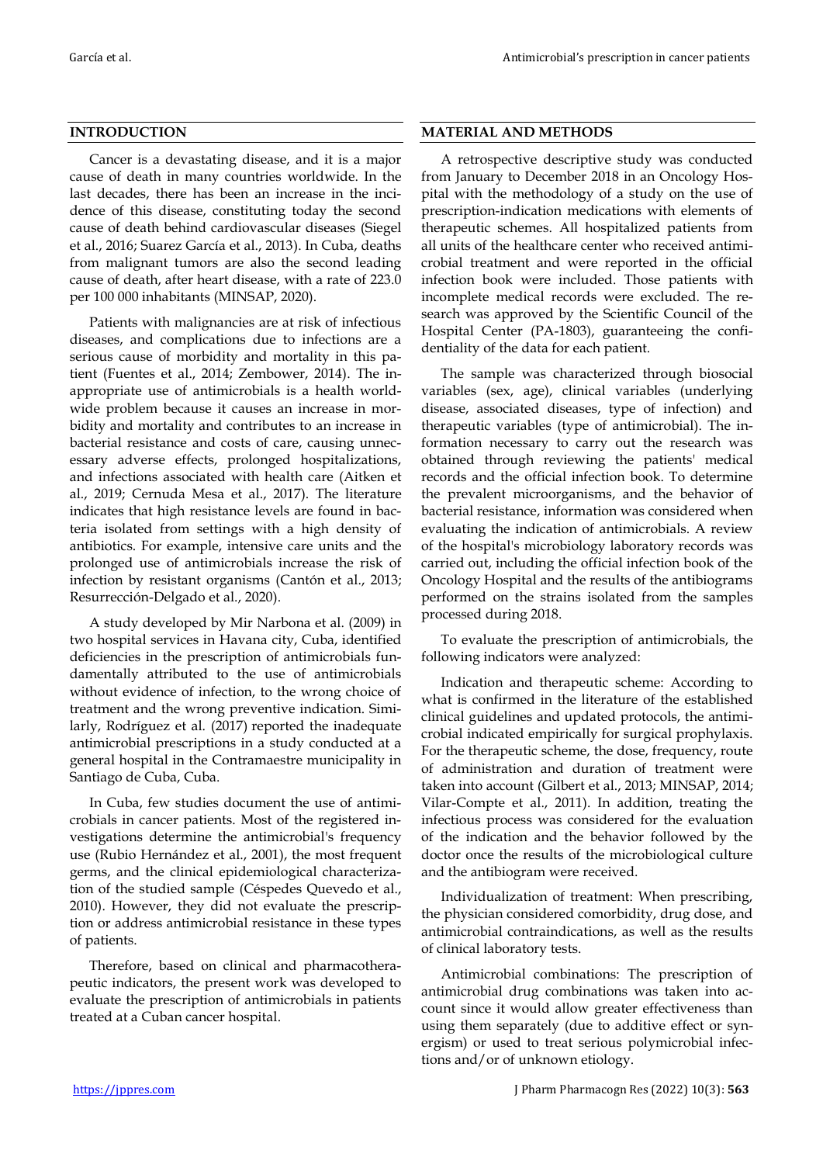## **INTRODUCTION**

Cancer is a devastating disease, and it is a major cause of death in many countries worldwide. In the last decades, there has been an increase in the incidence of this disease, constituting today the second cause of death behind cardiovascular diseases (Siegel et al., 2016; Suarez García et al., 2013). In Cuba, deaths from malignant tumors are also the second leading cause of death, after heart disease, with a rate of 223.0 per 100 000 inhabitants (MINSAP, 2020).

Patients with malignancies are at risk of infectious diseases, and complications due to infections are a serious cause of morbidity and mortality in this patient (Fuentes et al., 2014; Zembower, 2014). The inappropriate use of antimicrobials is a health worldwide problem because it causes an increase in morbidity and mortality and contributes to an increase in bacterial resistance and costs of care, causing unnecessary adverse effects, prolonged hospitalizations, and infections associated with health care (Aitken et al., 2019; Cernuda Mesa et al., 2017). The literature indicates that high resistance levels are found in bacteria isolated from settings with a high density of antibiotics. For example, intensive care units and the prolonged use of antimicrobials increase the risk of infection by resistant organisms (Cantón et al., 2013; Resurrección-Delgado et al., 2020).

A study developed by Mir Narbona et al. (2009) in two hospital services in Havana city, Cuba, identified deficiencies in the prescription of antimicrobials fundamentally attributed to the use of antimicrobials without evidence of infection, to the wrong choice of treatment and the wrong preventive indication. Similarly, Rodríguez et al. (2017) reported the inadequate antimicrobial prescriptions in a study conducted at a general hospital in the Contramaestre municipality in Santiago de Cuba, Cuba.

In Cuba, few studies document the use of antimicrobials in cancer patients. Most of the registered investigations determine the antimicrobial's frequency use (Rubio Hernández et al., 2001), the most frequent germs, and the clinical epidemiological characterization of the studied sample (Céspedes Quevedo et al., 2010). However, they did not evaluate the prescription or address antimicrobial resistance in these types of patients.

Therefore, based on clinical and pharmacotherapeutic indicators, the present work was developed to evaluate the prescription of antimicrobials in patients treated at a Cuban cancer hospital.

#### **MATERIAL AND METHODS**

A retrospective descriptive study was conducted from January to December 2018 in an Oncology Hospital with the methodology of a study on the use of prescription-indication medications with elements of therapeutic schemes. All hospitalized patients from all units of the healthcare center who received antimicrobial treatment and were reported in the official infection book were included. Those patients with incomplete medical records were excluded. The research was approved by the Scientific Council of the Hospital Center (PA-1803), guaranteeing the confidentiality of the data for each patient.

The sample was characterized through biosocial variables (sex, age), clinical variables (underlying disease, associated diseases, type of infection) and therapeutic variables (type of antimicrobial). The information necessary to carry out the research was obtained through reviewing the patients' medical records and the official infection book. To determine the prevalent microorganisms, and the behavior of bacterial resistance, information was considered when evaluating the indication of antimicrobials. A review of the hospital's microbiology laboratory records was carried out, including the official infection book of the Oncology Hospital and the results of the antibiograms performed on the strains isolated from the samples processed during 2018.

To evaluate the prescription of antimicrobials, the following indicators were analyzed:

Indication and therapeutic scheme: According to what is confirmed in the literature of the established clinical guidelines and updated protocols, the antimicrobial indicated empirically for surgical prophylaxis. For the therapeutic scheme, the dose, frequency, route of administration and duration of treatment were taken into account (Gilbert et al., 2013; MINSAP, 2014; Vilar-Compte et al., 2011). In addition, treating the infectious process was considered for the evaluation of the indication and the behavior followed by the doctor once the results of the microbiological culture and the antibiogram were received.

Individualization of treatment: When prescribing, the physician considered comorbidity, drug dose, and antimicrobial contraindications, as well as the results of clinical laboratory tests.

Antimicrobial combinations: The prescription of antimicrobial drug combinations was taken into account since it would allow greater effectiveness than using them separately (due to additive effect or synergism) or used to treat serious polymicrobial infections and/or of unknown etiology.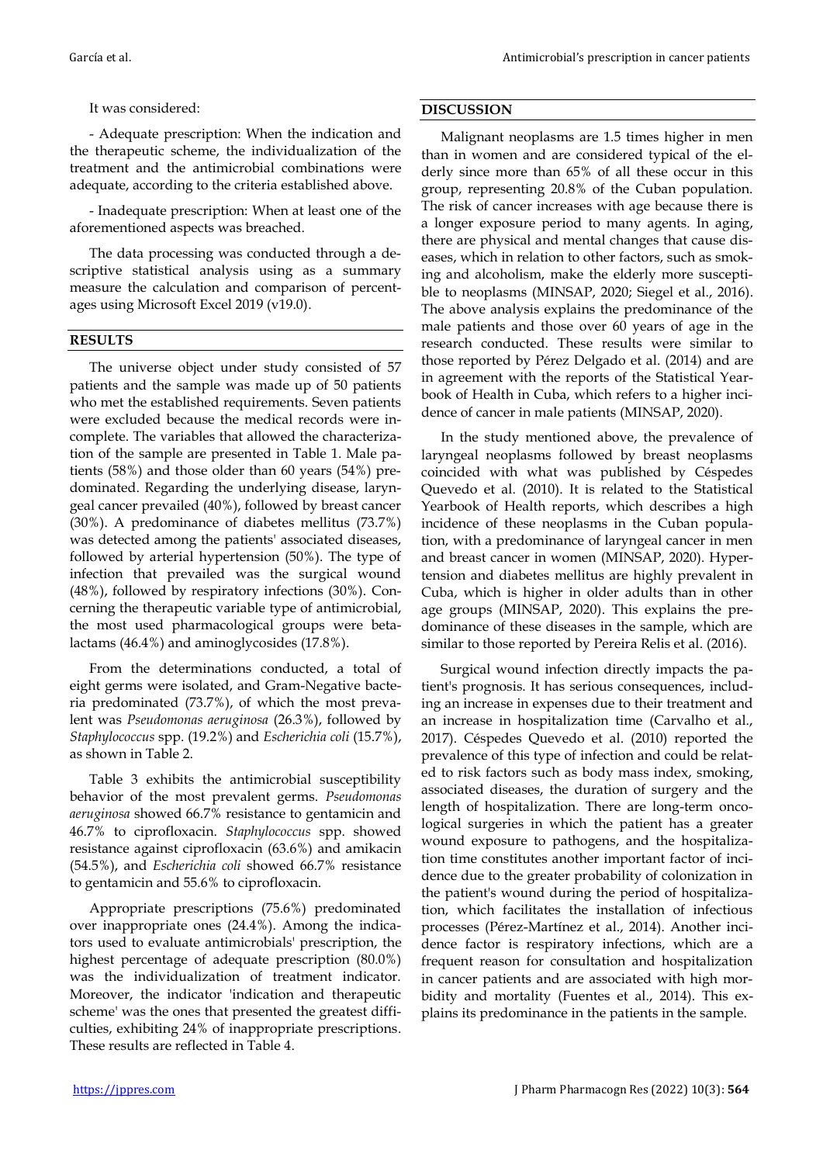## It was considered:

- Adequate prescription: When the indication and the therapeutic scheme, the individualization of the treatment and the antimicrobial combinations were adequate, according to the criteria established above.

- Inadequate prescription: When at least one of the aforementioned aspects was breached.

The data processing was conducted through a descriptive statistical analysis using as a summary measure the calculation and comparison of percentages using Microsoft Excel 2019 (v19.0).

## **RESULTS**

The universe object under study consisted of 57 patients and the sample was made up of 50 patients who met the established requirements. Seven patients were excluded because the medical records were incomplete. The variables that allowed the characterization of the sample are presented in Table 1. Male patients (58%) and those older than 60 years (54%) predominated. Regarding the underlying disease, laryngeal cancer prevailed (40%), followed by breast cancer (30%). A predominance of diabetes mellitus (73.7%) was detected among the patients' associated diseases, followed by arterial hypertension (50%). The type of infection that prevailed was the surgical wound (48%), followed by respiratory infections (30%). Concerning the therapeutic variable type of antimicrobial, the most used pharmacological groups were betalactams (46.4%) and aminoglycosides (17.8%).

From the determinations conducted, a total of eight germs were isolated, and Gram-Negative bacteria predominated (73.7%), of which the most prevalent was *Pseudomonas aeruginosa* (26.3%), followed by *Staphylococcus* spp. (19.2%) and *Escherichia coli* (15.7%), as shown in Table 2.

Table 3 exhibits the antimicrobial susceptibility behavior of the most prevalent germs. *Pseudomonas aeruginosa* showed 66.7% resistance to gentamicin and 46.7% to ciprofloxacin. *Staphylococcus* spp. showed resistance against ciprofloxacin (63.6%) and amikacin (54.5%), and *Escherichia coli* showed 66.7% resistance to gentamicin and 55.6% to ciprofloxacin.

Appropriate prescriptions (75.6%) predominated over inappropriate ones (24.4%). Among the indicators used to evaluate antimicrobials' prescription, the highest percentage of adequate prescription (80.0%) was the individualization of treatment indicator. Moreover, the indicator 'indication and therapeutic scheme' was the ones that presented the greatest difficulties, exhibiting 24% of inappropriate prescriptions. These results are reflected in Table 4.

#### **DISCUSSION**

Malignant neoplasms are 1.5 times higher in men than in women and are considered typical of the elderly since more than 65% of all these occur in this group, representing 20.8% of the Cuban population. The risk of cancer increases with age because there is a longer exposure period to many agents. In aging, there are physical and mental changes that cause diseases, which in relation to other factors, such as smoking and alcoholism, make the elderly more susceptible to neoplasms (MINSAP, 2020; Siegel et al., 2016). The above analysis explains the predominance of the male patients and those over 60 years of age in the research conducted. These results were similar to those reported by Pérez Delgado et al. (2014) and are in agreement with the reports of the Statistical Yearbook of Health in Cuba, which refers to a higher incidence of cancer in male patients (MINSAP, 2020).

In the study mentioned above, the prevalence of laryngeal neoplasms followed by breast neoplasms coincided with what was published by Céspedes Quevedo et al. (2010). It is related to the Statistical Yearbook of Health reports, which describes a high incidence of these neoplasms in the Cuban population, with a predominance of laryngeal cancer in men and breast cancer in women (MINSAP, 2020). Hypertension and diabetes mellitus are highly prevalent in Cuba, which is higher in older adults than in other age groups (MINSAP, 2020). This explains the predominance of these diseases in the sample, which are similar to those reported by Pereira Relis et al. (2016).

Surgical wound infection directly impacts the patient's prognosis. It has serious consequences, including an increase in expenses due to their treatment and an increase in hospitalization time (Carvalho et al., 2017). Céspedes Quevedo et al. (2010) reported the prevalence of this type of infection and could be related to risk factors such as body mass index, smoking, associated diseases, the duration of surgery and the length of hospitalization. There are long-term oncological surgeries in which the patient has a greater wound exposure to pathogens, and the hospitalization time constitutes another important factor of incidence due to the greater probability of colonization in the patient's wound during the period of hospitalization, which facilitates the installation of infectious processes (Pérez-Martínez et al., 2014). Another incidence factor is respiratory infections, which are a frequent reason for consultation and hospitalization in cancer patients and are associated with high morbidity and mortality (Fuentes et al., 2014). This explains its predominance in the patients in the sample.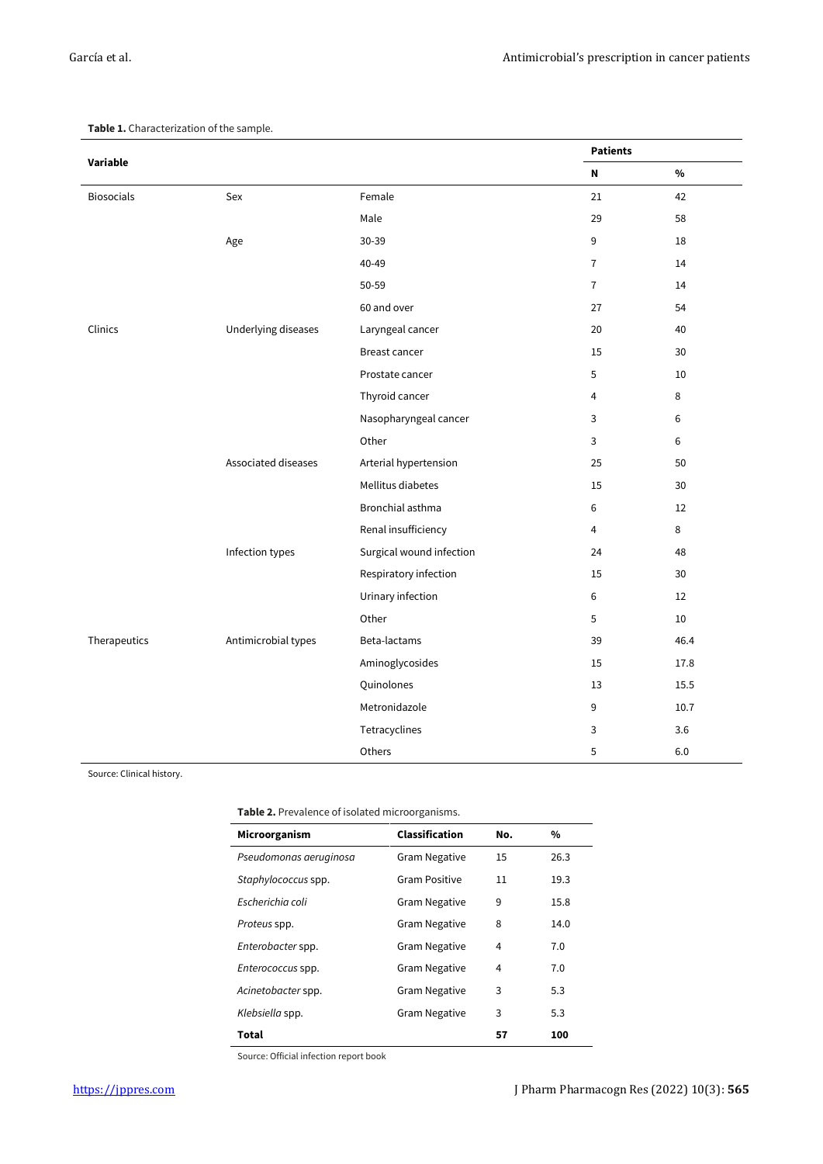|                   |                     |                          | <b>Patients</b> |         |
|-------------------|---------------------|--------------------------|-----------------|---------|
| Variable          |                     |                          | N               | $\%$    |
| <b>Biosocials</b> | Sex                 | Female                   | 21              | 42      |
|                   |                     | Male                     | 29              | 58      |
|                   | Age                 | 30-39                    | 9               | 18      |
|                   |                     | 40-49                    | $\overline{7}$  | 14      |
|                   |                     | 50-59                    | $\overline{7}$  | 14      |
|                   |                     | 60 and over              | 27              | 54      |
| Clinics           | Underlying diseases | Laryngeal cancer         | 20              | 40      |
|                   |                     | <b>Breast cancer</b>     | 15              | 30      |
|                   |                     | Prostate cancer          | 5               | 10      |
|                   |                     | Thyroid cancer           | $\overline{4}$  | 8       |
|                   |                     | Nasopharyngeal cancer    | 3               | $\,6\,$ |
|                   |                     | Other                    | 3               | $\,6\,$ |
|                   | Associated diseases | Arterial hypertension    | 25              | 50      |
|                   |                     | Mellitus diabetes        | 15              | 30      |
|                   |                     | Bronchial asthma         | 6               | 12      |
|                   |                     | Renal insufficiency      | $\overline{4}$  | 8       |
|                   | Infection types     | Surgical wound infection | 24              | 48      |
|                   |                     | Respiratory infection    | 15              | 30      |
|                   |                     | Urinary infection        | 6               | 12      |
|                   |                     | Other                    | 5               | 10      |
| Therapeutics      | Antimicrobial types | Beta-lactams             | 39              | 46.4    |
|                   |                     | Aminoglycosides          | 15              | 17.8    |
|                   |                     | Quinolones               | 13              | 15.5    |
|                   |                     | Metronidazole            | 9               | 10.7    |
|                   |                     | Tetracyclines            | 3               | 3.6     |
|                   |                     | Others                   | 5               | 6.0     |

**Table 1.** Characterization of the sample.

Source: Clinical history.

**Table 2.** Prevalence of isolated microorganisms.

| Microorganism          | <b>Classification</b> | No. | %    |  |  |  |  |  |
|------------------------|-----------------------|-----|------|--|--|--|--|--|
| Pseudomonas aeruginosa | <b>Gram Negative</b>  | 15  | 26.3 |  |  |  |  |  |
| Staphylococcus spp.    | <b>Gram Positive</b>  | 11  | 19.3 |  |  |  |  |  |
| Escherichia coli       | <b>Gram Negative</b>  | 9   | 15.8 |  |  |  |  |  |
| Proteus spp.           | <b>Gram Negative</b>  | 8   | 14.0 |  |  |  |  |  |
| Enterobacter spp.      | <b>Gram Negative</b>  | 4   | 7.0  |  |  |  |  |  |
| Enterococcus spp.      | <b>Gram Negative</b>  | 4   | 7.0  |  |  |  |  |  |
| Acinetobacter spp.     | <b>Gram Negative</b>  | 3   | 5.3  |  |  |  |  |  |
| Klebsiella spp.        | <b>Gram Negative</b>  | 3   | 5.3  |  |  |  |  |  |
| Total                  |                       | 57  | 100  |  |  |  |  |  |

Source: Official infection report book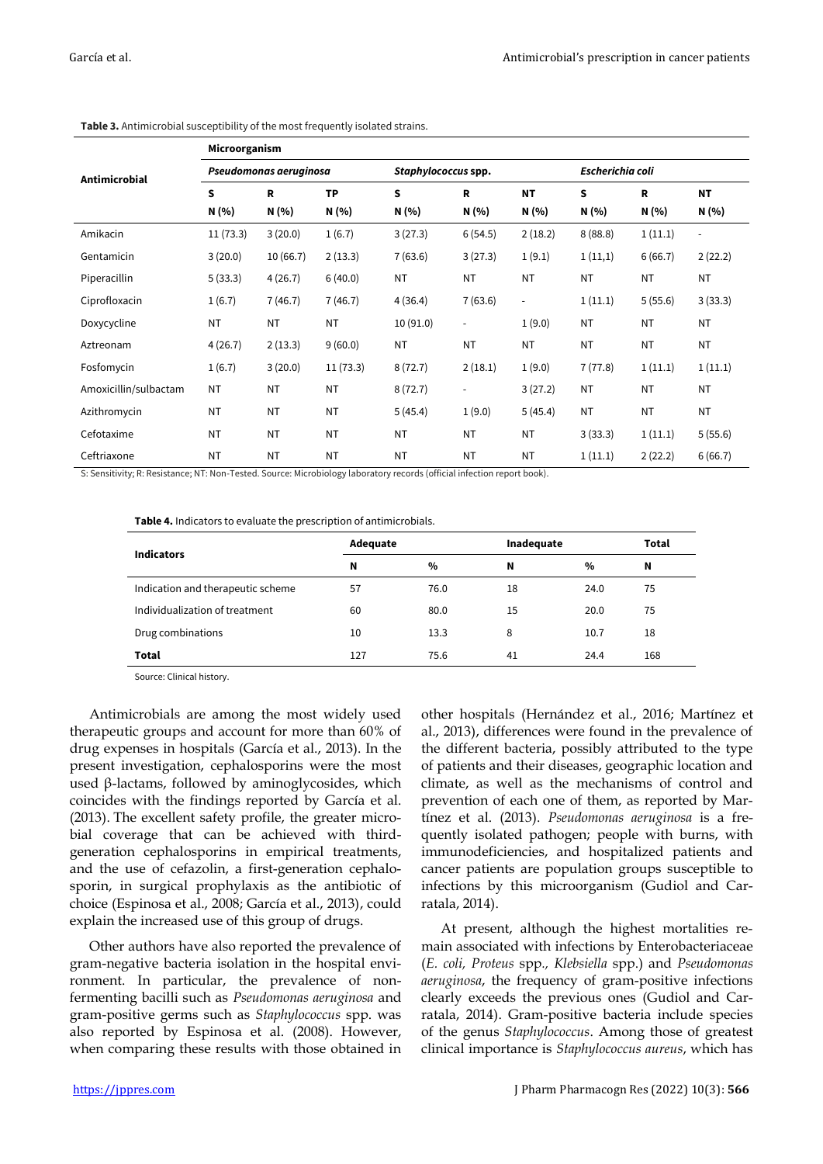|                       | Microorganism          |             |           |                     |                          |                          |                  |           |                          |
|-----------------------|------------------------|-------------|-----------|---------------------|--------------------------|--------------------------|------------------|-----------|--------------------------|
| Antimicrobial         | Pseudomonas aeruginosa |             |           | Staphylococcus spp. |                          |                          | Escherichia coli |           |                          |
|                       | S                      | $\mathbf R$ | <b>TP</b> | S                   | R                        | <b>NT</b>                | S                | R         | <b>NT</b>                |
|                       | N (%)                  | N (%)       | N (%)     | N (%)               | N (%)                    | N (%)                    | N (%)            | N (%)     | N (%)                    |
| Amikacin              | 11(73.3)               | 3(20.0)     | 1(6.7)    | 3(27.3)             | 6(54.5)                  | 2(18.2)                  | 8(88.8)          | 1(11.1)   | $\overline{\phantom{a}}$ |
| Gentamicin            | 3(20.0)                | 10(66.7)    | 2(13.3)   | 7(63.6)             | 3(27.3)                  | 1(9.1)                   | 1(11,1)          | 6(66.7)   | 2(22.2)                  |
| Piperacillin          | 5(33.3)                | 4(26.7)     | 6(40.0)   | NT                  | NT                       | <b>NT</b>                | <b>NT</b>        | ΝT        | NT                       |
| Ciprofloxacin         | 1(6.7)                 | 7(46.7)     | 7(46.7)   | 4(36.4)             | 7(63.6)                  | $\overline{\phantom{a}}$ | 1(11.1)          | 5(55.6)   | 3(33.3)                  |
| Doxycycline           | NT                     | <b>NT</b>   | <b>NT</b> | 10(91.0)            | $\overline{\phantom{a}}$ | 1(9.0)                   | NT               | <b>NT</b> | <b>NT</b>                |
| Aztreonam             | 4(26.7)                | 2(13.3)     | 9(60.0)   | <b>NT</b>           | NT                       | <b>NT</b>                | <b>NT</b>        | <b>NT</b> | <b>NT</b>                |
| Fosfomycin            | 1(6.7)                 | 3(20.0)     | 11(73.3)  | 8(72.7)             | 2(18.1)                  | 1(9.0)                   | 7(77.8)          | 1(11.1)   | 1(11.1)                  |
| Amoxicillin/sulbactam | <b>NT</b>              | <b>NT</b>   | <b>NT</b> | 8(72.7)             | $\overline{\phantom{a}}$ | 3(27.2)                  | <b>NT</b>        | <b>NT</b> | <b>NT</b>                |
| Azithromycin          | <b>NT</b>              | <b>NT</b>   | <b>NT</b> | 5(45.4)             | 1(9.0)                   | 5(45.4)                  | NT               | NT        | <b>NT</b>                |
| Cefotaxime            | <b>NT</b>              | <b>NT</b>   | <b>NT</b> | NT                  | NT                       | <b>NT</b>                | 3(33.3)          | 1(11.1)   | 5(55.6)                  |
| Ceftriaxone           | <b>NT</b>              | <b>NT</b>   | <b>NT</b> | NT                  | NT                       | <b>NT</b>                | 1(11.1)          | 2(22.2)   | 6(66.7)                  |

**Table 3.** Antimicrobial susceptibility of the most frequently isolated strains.

S: Sensitivity; R: Resistance; NT: Non-Tested. Source: Microbiology laboratory records (official infection report book).

**Table 4.** Indicators to evaluate the prescription of antimicrobials.

| <b>Indicators</b><br>Indication and therapeutic scheme<br>Individualization of treatment<br>Drug combinations | Adequate |      | Inadequate | Total |     |
|---------------------------------------------------------------------------------------------------------------|----------|------|------------|-------|-----|
|                                                                                                               | N        | $\%$ | N          | $\%$  | N   |
|                                                                                                               | 57       | 76.0 | 18         | 24.0  | 75  |
|                                                                                                               | 60       | 80.0 | 15         | 20.0  | 75  |
|                                                                                                               | 10       | 13.3 | 8          | 10.7  | 18  |
| Total                                                                                                         | 127      | 75.6 | 41         | 24.4  | 168 |

Source: Clinical history.

Antimicrobials are among the most widely used therapeutic groups and account for more than 60% of drug expenses in hospitals (García et al., 2013). In the present investigation, cephalosporins were the most used β-lactams, followed by aminoglycosides, which coincides with the findings reported by García et al. (2013). The excellent safety profile, the greater microbial coverage that can be achieved with thirdgeneration cephalosporins in empirical treatments, and the use of cefazolin, a first-generation cephalosporin, in surgical prophylaxis as the antibiotic of choice (Espinosa et al., 2008; García et al., 2013), could explain the increased use of this group of drugs.

Other authors have also reported the prevalence of gram-negative bacteria isolation in the hospital environment. In particular, the prevalence of nonfermenting bacilli such as *Pseudomonas aeruginosa* and gram-positive germs such as *Staphylococcus* spp. was also reported by Espinosa et al. (2008). However, when comparing these results with those obtained in other hospitals (Hernández et al., 2016; Martínez et al., 2013), differences were found in the prevalence of the different bacteria, possibly attributed to the type of patients and their diseases, geographic location and climate, as well as the mechanisms of control and prevention of each one of them, as reported by Martínez et al. (2013). *Pseudomonas aeruginosa* is a frequently isolated pathogen; people with burns, with immunodeficiencies, and hospitalized patients and cancer patients are population groups susceptible to infections by this microorganism (Gudiol and Carratala, 2014).

At present, although the highest mortalities remain associated with infections by Enterobacteriaceae (*E. coli, Proteus* spp*., Klebsiella* spp.) and *Pseudomonas aeruginosa*, the frequency of gram-positive infections clearly exceeds the previous ones (Gudiol and Carratala, 2014). Gram-positive bacteria include species of the genus *Staphylococcus*. Among those of greatest clinical importance is *Staphylococcus aureus*, which has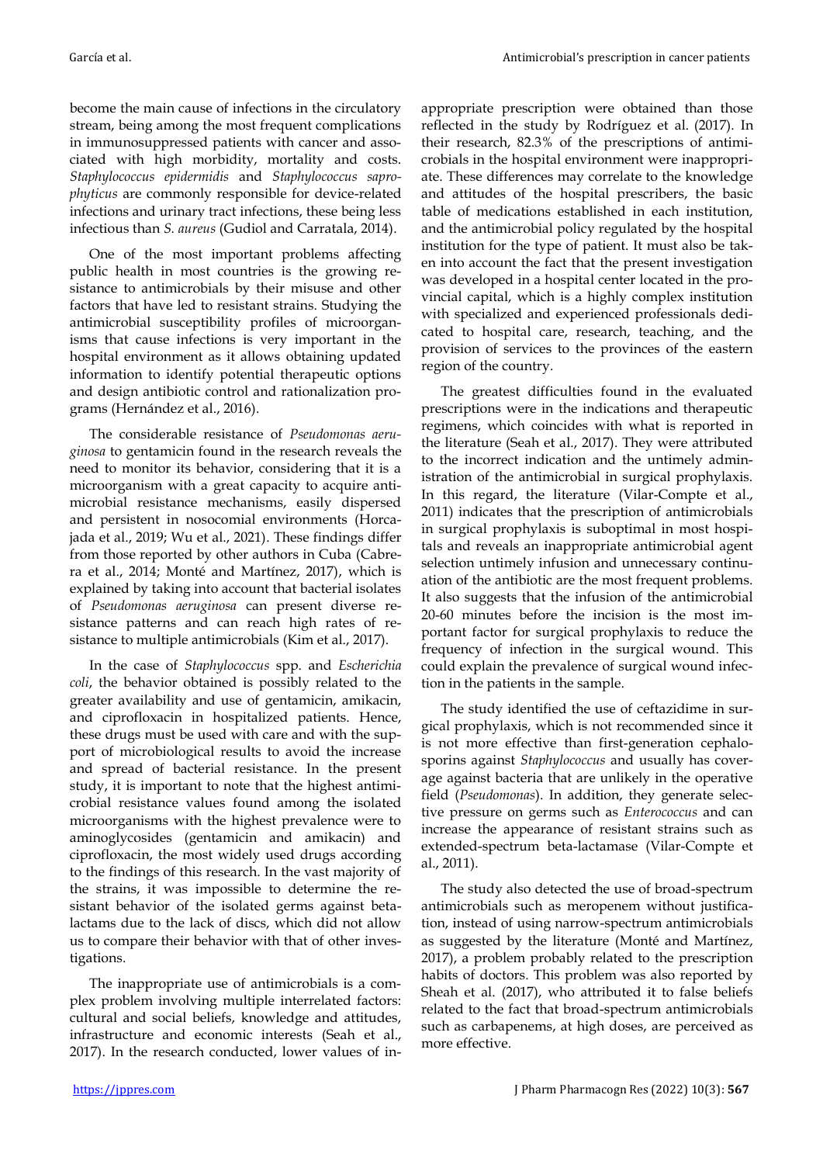become the main cause of infections in the circulatory stream, being among the most frequent complications in immunosuppressed patients with cancer and associated with high morbidity, mortality and costs. *Staphylococcus epidermidis* and *Staphylococcus saprophyticus* are commonly responsible for device-related infections and urinary tract infections, these being less infectious than *S. aureus* (Gudiol and Carratala, 2014).

One of the most important problems affecting public health in most countries is the growing resistance to antimicrobials by their misuse and other factors that have led to resistant strains. Studying the antimicrobial susceptibility profiles of microorganisms that cause infections is very important in the hospital environment as it allows obtaining updated information to identify potential therapeutic options and design antibiotic control and rationalization programs (Hernández et al., 2016).

The considerable resistance of *Pseudomonas aeruginosa* to gentamicin found in the research reveals the need to monitor its behavior, considering that it is a microorganism with a great capacity to acquire antimicrobial resistance mechanisms, easily dispersed and persistent in nosocomial environments (Horcajada et al., 2019; Wu et al., 2021). These findings differ from those reported by other authors in Cuba (Cabrera et al., 2014; Monté and Martínez, 2017), which is explained by taking into account that bacterial isolates of *Pseudomonas aeruginosa* can present diverse resistance patterns and can reach high rates of resistance to multiple antimicrobials (Kim et al., 2017).

In the case of *Staphylococcus* spp. and *Escherichia coli*, the behavior obtained is possibly related to the greater availability and use of gentamicin, amikacin, and ciprofloxacin in hospitalized patients. Hence, these drugs must be used with care and with the support of microbiological results to avoid the increase and spread of bacterial resistance. In the present study, it is important to note that the highest antimicrobial resistance values found among the isolated microorganisms with the highest prevalence were to aminoglycosides (gentamicin and amikacin) and ciprofloxacin, the most widely used drugs according to the findings of this research. In the vast majority of the strains, it was impossible to determine the resistant behavior of the isolated germs against betalactams due to the lack of discs, which did not allow us to compare their behavior with that of other investigations.

The inappropriate use of antimicrobials is a complex problem involving multiple interrelated factors: cultural and social beliefs, knowledge and attitudes, infrastructure and economic interests (Seah et al., 2017). In the research conducted, lower values of inappropriate prescription were obtained than those reflected in the study by Rodríguez et al. (2017). In their research, 82.3% of the prescriptions of antimicrobials in the hospital environment were inappropriate. These differences may correlate to the knowledge and attitudes of the hospital prescribers, the basic table of medications established in each institution, and the antimicrobial policy regulated by the hospital institution for the type of patient. It must also be taken into account the fact that the present investigation was developed in a hospital center located in the provincial capital, which is a highly complex institution with specialized and experienced professionals dedicated to hospital care, research, teaching, and the provision of services to the provinces of the eastern region of the country.

The greatest difficulties found in the evaluated prescriptions were in the indications and therapeutic regimens, which coincides with what is reported in the literature (Seah et al., 2017). They were attributed to the incorrect indication and the untimely administration of the antimicrobial in surgical prophylaxis. In this regard, the literature (Vilar-Compte et al., 2011) indicates that the prescription of antimicrobials in surgical prophylaxis is suboptimal in most hospitals and reveals an inappropriate antimicrobial agent selection untimely infusion and unnecessary continuation of the antibiotic are the most frequent problems. It also suggests that the infusion of the antimicrobial 20-60 minutes before the incision is the most important factor for surgical prophylaxis to reduce the frequency of infection in the surgical wound. This could explain the prevalence of surgical wound infection in the patients in the sample.

The study identified the use of ceftazidime in surgical prophylaxis, which is not recommended since it is not more effective than first-generation cephalosporins against *Staphylococcus* and usually has coverage against bacteria that are unlikely in the operative field (*Pseudomonas*). In addition, they generate selective pressure on germs such as *Enterococcus* and can increase the appearance of resistant strains such as extended-spectrum beta-lactamase (Vilar-Compte et al., 2011).

The study also detected the use of broad-spectrum antimicrobials such as meropenem without justification, instead of using narrow-spectrum antimicrobials as suggested by the literature (Monté and Martínez, 2017), a problem probably related to the prescription habits of doctors. This problem was also reported by Sheah et al. (2017), who attributed it to false beliefs related to the fact that broad-spectrum antimicrobials such as carbapenems, at high doses, are perceived as more effective.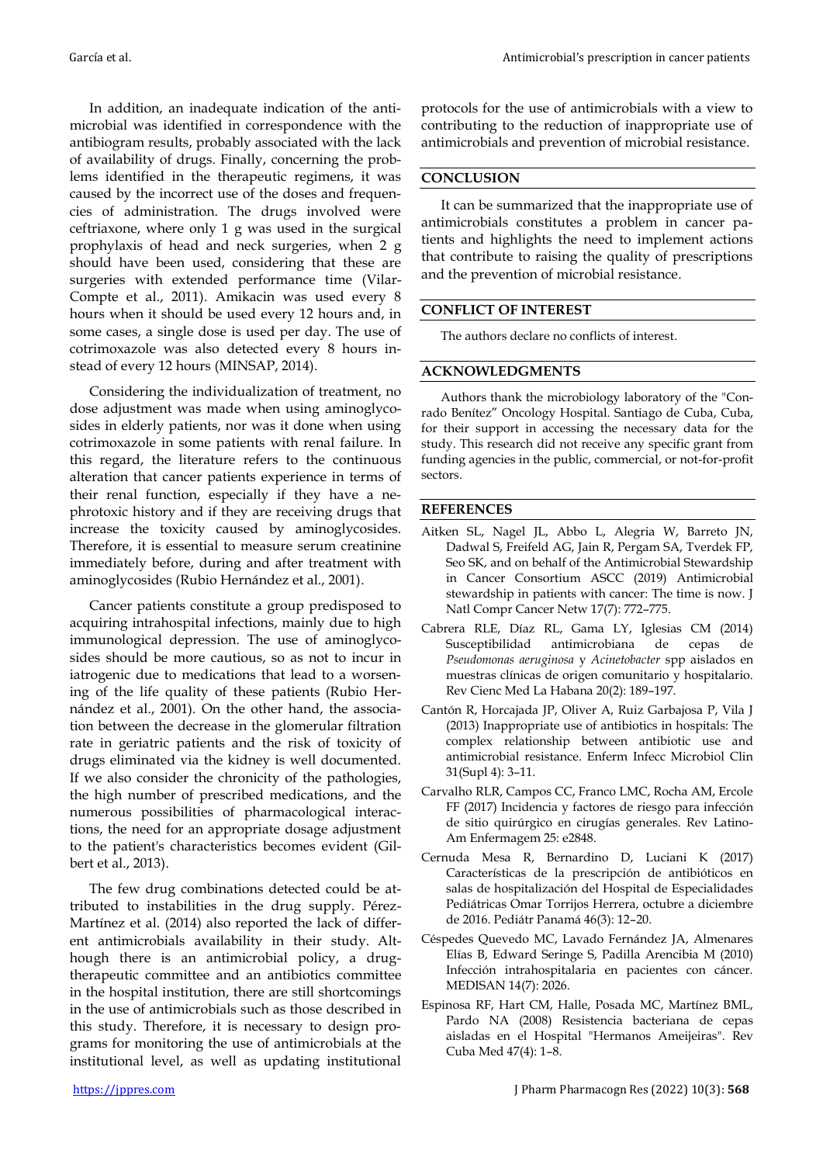In addition, an inadequate indication of the antimicrobial was identified in correspondence with the antibiogram results, probably associated with the lack of availability of drugs. Finally, concerning the problems identified in the therapeutic regimens, it was caused by the incorrect use of the doses and frequencies of administration. The drugs involved were ceftriaxone, where only 1 g was used in the surgical prophylaxis of head and neck surgeries, when 2 g should have been used, considering that these are surgeries with extended performance time (Vilar-Compte et al., 2011). Amikacin was used every 8 hours when it should be used every 12 hours and, in some cases, a single dose is used per day. The use of cotrimoxazole was also detected every 8 hours instead of every 12 hours (MINSAP, 2014).

Considering the individualization of treatment, no dose adjustment was made when using aminoglycosides in elderly patients, nor was it done when using cotrimoxazole in some patients with renal failure. In this regard, the literature refers to the continuous alteration that cancer patients experience in terms of their renal function, especially if they have a nephrotoxic history and if they are receiving drugs that increase the toxicity caused by aminoglycosides. Therefore, it is essential to measure serum creatinine immediately before, during and after treatment with aminoglycosides (Rubio Hernández et al., 2001).

Cancer patients constitute a group predisposed to acquiring intrahospital infections, mainly due to high immunological depression. The use of aminoglycosides should be more cautious, so as not to incur in iatrogenic due to medications that lead to a worsening of the life quality of these patients (Rubio Hernández et al., 2001). On the other hand, the association between the decrease in the glomerular filtration rate in geriatric patients and the risk of toxicity of drugs eliminated via the kidney is well documented. If we also consider the chronicity of the pathologies, the high number of prescribed medications, and the numerous possibilities of pharmacological interactions, the need for an appropriate dosage adjustment to the patient's characteristics becomes evident (Gilbert et al., 2013).

The few drug combinations detected could be attributed to instabilities in the drug supply. Pérez-Martínez et al. (2014) also reported the lack of different antimicrobials availability in their study. Although there is an antimicrobial policy, a drugtherapeutic committee and an antibiotics committee in the hospital institution, there are still shortcomings in the use of antimicrobials such as those described in this study. Therefore, it is necessary to design programs for monitoring the use of antimicrobials at the institutional level, as well as updating institutional

# **CONCLUSION**

It can be summarized that the inappropriate use of antimicrobials constitutes a problem in cancer patients and highlights the need to implement actions that contribute to raising the quality of prescriptions and the prevention of microbial resistance.

## **CONFLICT OF INTEREST**

The authors declare no conflicts of interest.

# **ACKNOWLEDGMENTS**

Authors thank the microbiology laboratory of the "Conrado Benítez" Oncology Hospital. Santiago de Cuba, Cuba, for their support in accessing the necessary data for the study. This research did not receive any specific grant from funding agencies in the public, commercial, or not-for-profit sectors.

# **REFERENCES**

- Aitken SL, Nagel JL, Abbo L, Alegria W, Barreto JN, Dadwal S, Freifeld AG, Jain R, Pergam SA, Tverdek FP, Seo SK, and on behalf of the Antimicrobial Stewardship in Cancer Consortium ASCC (2019) Antimicrobial stewardship in patients with cancer: The time is now. J Natl Compr Cancer Netw 17(7): 772–775.
- Cabrera RLE, Díaz RL, Gama LY, Iglesias CM (2014) Susceptibilidad antimicrobiana de cepas de *Pseudomonas aeruginosa* y *Acinetobacter* spp aislados en muestras clínicas de origen comunitario y hospitalario. Rev Cienc Med La Habana 20(2): 189–197.
- Cantón R, Horcajada JP, Oliver A, Ruiz Garbajosa P, Vila J (2013) Inappropriate use of antibiotics in hospitals: The complex relationship between antibiotic use and antimicrobial resistance. Enferm Infecc Microbiol Clin 31(Supl 4): 3–11.
- Carvalho RLR, Campos CC, Franco LMC, Rocha AM, Ercole FF (2017) Incidencia y factores de riesgo para infección de sitio quirúrgico en cirugías generales. Rev Latino-Am Enfermagem 25: e2848.
- Cernuda Mesa R, Bernardino D, Luciani K (2017) Características de la prescripción de antibióticos en salas de hospitalización del Hospital de Especialidades Pediátricas Omar Torrijos Herrera, octubre a diciembre de 2016. Pediátr Panamá 46(3): 12–20.
- Céspedes Quevedo MC, Lavado Fernández JA, Almenares Elías B, Edward Seringe S, Padilla Arencibia M (2010) Infección intrahospitalaria en pacientes con cáncer. MEDISAN 14(7): 2026.
- Espinosa RF, Hart CM, Halle, Posada MC, Martínez BML, Pardo NA (2008) Resistencia bacteriana de cepas aisladas en el Hospital "Hermanos Ameijeiras". Rev Cuba Med 47(4): 1–8.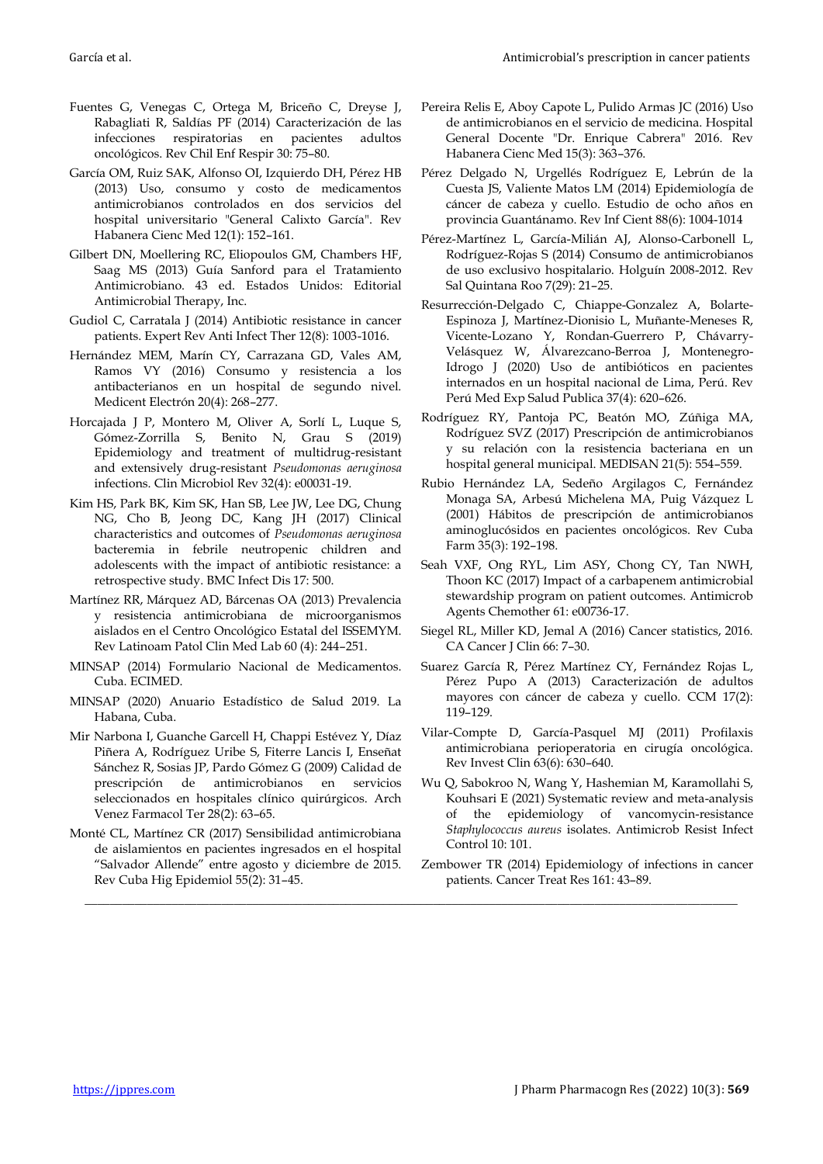- Fuentes G, Venegas C, Ortega M, Briceño C, Dreyse J, Rabagliati R, Saldías PF (2014) Caracterización de las infecciones respiratorias en pacientes adultos oncológicos. Rev Chil Enf Respir 30: 75–80.
- García OM, Ruiz SAK, Alfonso OI, Izquierdo DH, Pérez HB (2013) Uso, consumo y costo de medicamentos antimicrobianos controlados en dos servicios del hospital universitario "General Calixto García". Rev Habanera Cienc Med 12(1): 152–161.
- Gilbert DN, Moellering RC, Eliopoulos GM, Chambers HF, Saag MS (2013) Guía Sanford para el Tratamiento Antimicrobiano. 43 ed. Estados Unidos: Editorial Antimicrobial Therapy, Inc.
- Gudiol C, Carratala J (2014) Antibiotic resistance in cancer patients. Expert Rev Anti Infect Ther 12(8): 1003-1016.
- Hernández MEM, Marín CY, Carrazana GD, Vales AM, Ramos VY (2016) Consumo y resistencia a los antibacterianos en un hospital de segundo nivel. Medicent Electrón 20(4): 268–277.
- Horcajada J P, Montero M, Oliver A, Sorlí L, Luque S, Gómez-Zorrilla S, Benito N, Grau S (2019) Epidemiology and treatment of multidrug-resistant and extensively drug-resistant *Pseudomonas aeruginosa* infections. Clin Microbiol Rev 32(4): e00031-19.
- Kim HS, Park BK, Kim SK, Han SB, Lee JW, Lee DG, Chung NG, Cho B, Jeong DC, Kang JH (2017) Clinical characteristics and outcomes of *Pseudomonas aeruginosa* bacteremia in febrile neutropenic children and adolescents with the impact of antibiotic resistance: a retrospective study. BMC Infect Dis 17: 500.
- Martínez RR, Márquez AD, Bárcenas OA (2013) Prevalencia y resistencia antimicrobiana de microorganismos aislados en el Centro Oncológico Estatal del ISSEMYM. Rev Latinoam Patol Clin Med Lab 60 (4): 244–251.
- MINSAP (2014) Formulario Nacional de Medicamentos. Cuba. ECIMED.
- MINSAP (2020) Anuario Estadístico de Salud 2019. La Habana, Cuba.
- Mir Narbona I, Guanche Garcell H, Chappi Estévez Y, Díaz Piñera A, Rodríguez Uribe S, Fiterre Lancis I, Enseñat Sánchez R, Sosias JP, Pardo Gómez G (2009) Calidad de prescripción de antimicrobianos en servicios seleccionados en hospitales clínico quirúrgicos. Arch Venez Farmacol Ter 28(2): 63–65.
- Monté CL, Martínez CR (2017) Sensibilidad antimicrobiana de aislamientos en pacientes ingresados en el hospital "Salvador Allende" entre agosto y diciembre de 2015. Rev Cuba Hig Epidemiol 55(2): 31–45.

\_\_\_\_\_\_\_\_\_\_\_\_\_\_\_\_\_\_\_\_\_\_\_\_\_\_\_\_\_\_\_\_\_\_\_\_\_\_\_\_\_\_\_\_\_\_\_\_\_\_\_\_\_\_\_\_\_\_\_\_\_\_\_\_\_\_\_\_\_\_\_\_\_\_\_\_\_\_\_\_\_\_\_\_\_\_\_\_\_\_\_\_\_\_\_\_\_\_\_\_\_\_\_\_\_

- Pereira Relis E, Aboy Capote L, Pulido Armas JC (2016) Uso de antimicrobianos en el servicio de medicina. Hospital General Docente "Dr. Enrique Cabrera" 2016. Rev Habanera Cienc Med 15(3): 363–376.
- Pérez Delgado N, Urgellés Rodríguez E, Lebrún de la Cuesta JS, Valiente Matos LM (2014) Epidemiología de cáncer de cabeza y cuello. Estudio de ocho años en provincia Guantánamo. Rev Inf Cient 88(6): 1004‐1014
- Pérez-Martínez L, García-Milián AJ, Alonso-Carbonell L, Rodríguez-Rojas S (2014) Consumo de antimicrobianos de uso exclusivo hospitalario. Holguín 2008-2012. Rev Sal Quintana Roo 7(29): 21–25.
- Resurrección-Delgado C, Chiappe-Gonzalez A, Bolarte-Espinoza J, Martínez-Dionisio L, Muñante-Meneses R, Vicente-Lozano Y, Rondan-Guerrero P, Chávarry-Velásquez W, Álvarezcano-Berroa J, Montenegro-Idrogo J (2020) Uso de antibióticos en pacientes internados en un hospital nacional de Lima, Perú. Rev Perú Med Exp Salud Publica 37(4): 620–626.
- Rodríguez RY, Pantoja PC, Beatón MO, Zúñiga MA, Rodríguez SVZ (2017) Prescripción de antimicrobianos y su relación con la resistencia bacteriana en un hospital general municipal. MEDISAN 21(5): 554–559.
- Rubio Hernández LA, Sedeño Argilagos C, Fernández Monaga SA, Arbesú Michelena MA, Puig Vázquez L (2001) Hábitos de prescripción de antimicrobianos aminoglucósidos en pacientes oncológicos. Rev Cuba Farm 35(3): 192–198.
- Seah VXF, Ong RYL, Lim ASY, Chong CY, Tan NWH, Thoon KC (2017) Impact of a carbapenem antimicrobial stewardship program on patient outcomes. Antimicrob Agents Chemother 61: e00736-17.
- Siegel RL, Miller KD, Jemal A (2016) Cancer statistics, 2016. CA Cancer J Clin 66: 7–30.
- Suarez García R, Pérez Martínez CY, Fernández Rojas L, Pérez Pupo A (2013) Caracterización de adultos mayores con cáncer de cabeza y cuello. CCM 17(2): 119–129.
- Vilar-Compte D, García-Pasquel MJ (2011) Profilaxis antimicrobiana perioperatoria en cirugía oncológica. Rev Invest Clin 63(6): 630–640.
- Wu Q, Sabokroo N, Wang Y, Hashemian M, Karamollahi S, Kouhsari E (2021) Systematic review and meta-analysis of the epidemiology of vancomycin-resistance *Staphylococcus aureus* isolates. Antimicrob Resist Infect Control 10: 101.
- Zembower TR (2014) Epidemiology of infections in cancer patients*.* Cancer Treat Res 161: 43–89.